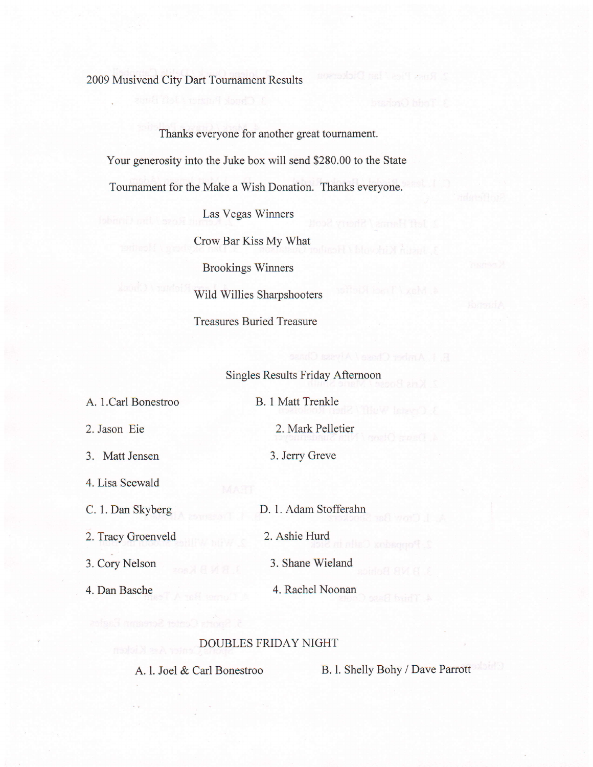2009 Musivend City Dart Tournament Results

Thanks everyone for another great tournament.

Your generosity into the Juke box will send \$280.00 to the State

Tournament for the Make a Wish Donation. Thanks everyone.

Las Vegas Winners

Crow Bar Kiss Mv What

Brookings Winners Wild Willies Sharpshooters Treasures Buried Treasure

Singles Results Friday Aftemoon

A. l.Carl Bonestroo

B. 1 Matt Trenkle

3. Matt Jensen

2. Jason Eie

4. Lisa Seewald

C. 1. Dan Skyberg

2.Tracy Groenveld

3. Cory Nelson

4. Dan Basche

2. Mark Pelletier

3. Jerry Greve

D. l. Adam Stofferahn

2. Ashie Hurd

3. Shane Wieland

4. Rachel Noonan

## DOUBLES FRIDAY NIGHT

A. l. Joel & Carl Bonestroo B. l. Shelly Bohy / Dave Parrott

Rose Pics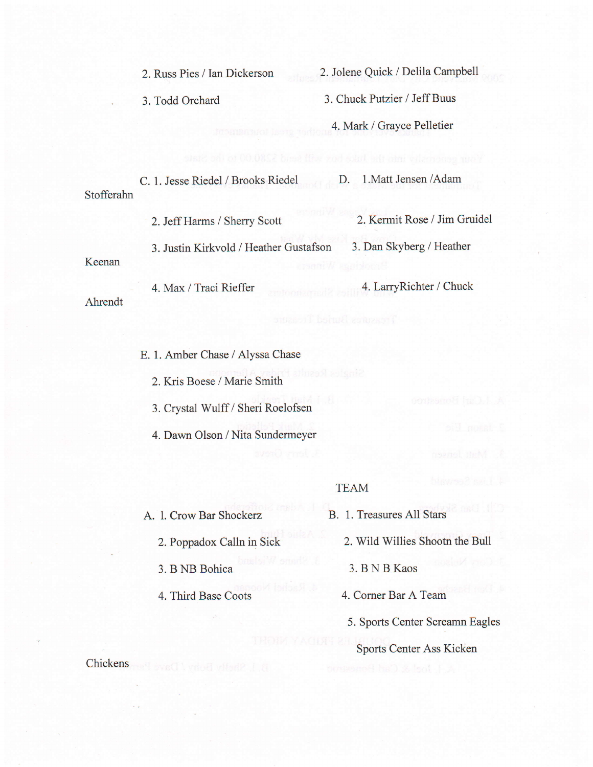2. Russ Pies / Ian Dickerson 2. Jolene Quick / Delila campbell

. 3. Todd Orchard 3. Chuck Putzier / Jeff Buus

4. Mark / Gravce Pelletier

c. 1. Jesse Riedel / Brooks Riedel D. 1.Matt Jensen /Adam Stofferahn

2. Jeff Harms / sherry Scott 2. Kermit Rose / Jim Gruidel

3. Justin Kirkvold / Heather Gustafson 3. Dan Skyberg / Heather

Keenan

4. Max / Traci Rieffer 4. LarryRichter / Chuck Ahrendt

- E. 1. Amber Chase / Alyssa Chase
	- 2. Kris Boese / Marie Smith

3. Crystal Wulff / Sheri Roelofsen

4. Dawn Olson / Nita Sundermeyer

## TEAM

A. 1. Crow Bar Shockerz B. 1. Treasures All Stars

- 
- 3.BNBBohica 3.BNBKaos

- 
- 2. Poppadox Calln in Sick 2. Wild Willies Shootn the Bull
	-
- 4. Third Base Coots 4. Corner Bar A Team
	- 5. Sports Center Screamn Eagles

## Sports Center Ass Kicken

Chickens and evect voice vitadis J at